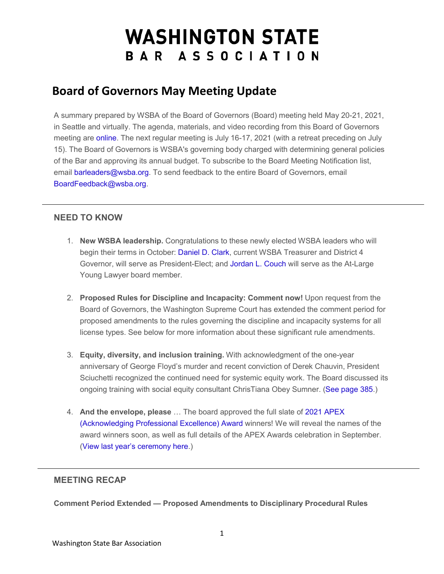# **WASHINGTON STATE** BAR ASSOCIATION

# **Board of Governors May Meeting Update**

A summary prepared by WSBA of the Board of Governors (Board) meeting held May 20-21, 2021, in Seattle and virtually. The agenda, materials, and video recording from this Board of Governors meeting are [online.](https://urldefense.com/v3/__http:/WSBA.informz.net/z/cjUucD9taT0zMzI5NjE3JnA9MSZ1PTM3ODI5MjMyMiZsaT0yOTc0MzM2NQ/index.html__;!!MxMh4AY!1IxuQM39krlHfbi_jIVOQ8d9rhgv1eMLTiBD7mK7U1nTRr9Az0AfV3LxFvzi$) The next regular meeting is July 16-17, 2021 (with a retreat preceding on July 15). The Board of Governors is WSBA's governing body charged with determining general policies of the Bar and approving its annual budget. To subscribe to the Board Meeting Notification list, email [barleaders@wsba.org.](mailto:barleaders@wsba.org) To send feedback to the entire Board of Governors, email [BoardFeedback@wsba.org.](mailto:BoardFeedback@wsba.org)

#### **NEED TO KNOW**

- 1. **New WSBA leadership.** Congratulations to these newly elected WSBA leaders who will begin their terms in October: [Daniel D. Clark,](https://urldefense.com/v3/__http:/WSBA.informz.net/z/cjUucD9taT0zMzI5NjE3JnA9MSZ1PTM3ODI5MjMyMiZsaT0yOTc0MzM3MA/index.html__;!!MxMh4AY!1IxuQM39krlHfbi_jIVOQ8d9rhgv1eMLTiBD7mK7U1nTRr9Az0AfV5f2O6Wc$) current WSBA Treasurer and District 4 Governor, will serve as President-Elect; and [Jordan L. Couch](https://urldefense.com/v3/__http:/WSBA.informz.net/z/cjUucD9taT0zMzI5NjE3JnA9MSZ1PTM3ODI5MjMyMiZsaT0yOTc0MzM3MQ/index.html__;!!MxMh4AY!1IxuQM39krlHfbi_jIVOQ8d9rhgv1eMLTiBD7mK7U1nTRr9Az0AfV-7Wg1AQ$) will serve as the At-Large Young Lawyer board member.
- 2. **Proposed Rules for Discipline and Incapacity: Comment now!** Upon request from the Board of Governors, the Washington Supreme Court has extended the comment period for proposed amendments to the rules governing the discipline and incapacity systems for all license types. See below for more information about these significant rule amendments.
- 3. **Equity, diversity, and inclusion training.** With acknowledgment of the one-year anniversary of George Floyd's murder and recent conviction of Derek Chauvin, President Sciuchetti recognized the continued need for systemic equity work. The Board discussed its ongoing training with social equity consultant ChrisTiana Obey Sumner. [\(See page 385.](https://urldefense.com/v3/__http:/WSBA.informz.net/z/cjUucD9taT0zMzI5NjE3JnA9MSZ1PTM3ODI5MjMyMiZsaT0yOTc0MzM3Mg/index.html__;!!MxMh4AY!1IxuQM39krlHfbi_jIVOQ8d9rhgv1eMLTiBD7mK7U1nTRr9Az0AfV6oxSYVh$))
- 4. **And the envelope, please** … The board approved the full slate o[f 2021 APEX](https://urldefense.com/v3/__http:/WSBA.informz.net/z/cjUucD9taT0zMzI5NjE3JnA9MSZ1PTM3ODI5MjMyMiZsaT0yOTc0MzM3Mw/index.html__;!!MxMh4AY!1IxuQM39krlHfbi_jIVOQ8d9rhgv1eMLTiBD7mK7U1nTRr9Az0AfVzNJyjhe$)  [\(Acknowledging Professional Excellence\) Award](https://urldefense.com/v3/__http:/WSBA.informz.net/z/cjUucD9taT0zMzI5NjE3JnA9MSZ1PTM3ODI5MjMyMiZsaT0yOTc0MzM3Mw/index.html__;!!MxMh4AY!1IxuQM39krlHfbi_jIVOQ8d9rhgv1eMLTiBD7mK7U1nTRr9Az0AfVzNJyjhe$) winners! We will reveal the names of the award winners soon, as well as full details of the APEX Awards celebration in September. [\(View last year's ceremony here.](https://urldefense.com/v3/__http:/WSBA.informz.net/z/cjUucD9taT0zMzI5NjE3JnA9MSZ1PTM3ODI5MjMyMiZsaT0yOTc0MzM3NA/index.html__;!!MxMh4AY!1IxuQM39krlHfbi_jIVOQ8d9rhgv1eMLTiBD7mK7U1nTRr9Az0AfVwE42FCN$))

### **MEETING RECAP**

**Comment Period Extended — Proposed Amendments to Disciplinary Procedural Rules**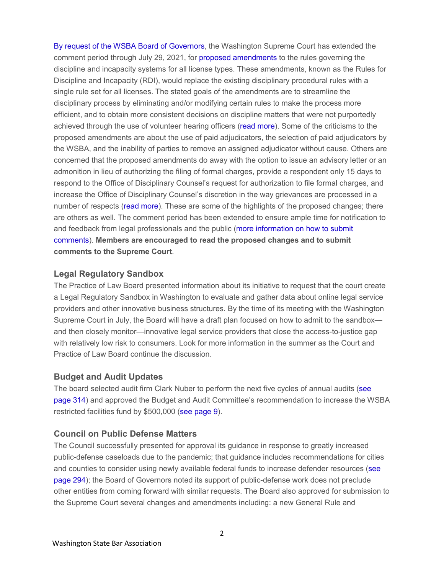[By request of the WSBA Board](https://urldefense.com/v3/__http:/WSBA.informz.net/z/cjUucD9taT0zMzI5NjE3JnA9MSZ1PTM3ODI5MjMyMiZsaT0yOTc0MzM3NQ/index.html__;!!MxMh4AY!1IxuQM39krlHfbi_jIVOQ8d9rhgv1eMLTiBD7mK7U1nTRr9Az0AfV1wAfsLy$) of Governors, the Washington Supreme Court has extended the comment period through July 29, 2021, for [proposed amendments](https://urldefense.com/v3/__http:/WSBA.informz.net/z/cjUucD9taT0zMzI5NjE3JnA9MSZ1PTM3ODI5MjMyMiZsaT0yOTc0MzM3Ng/index.html__;!!MxMh4AY!1IxuQM39krlHfbi_jIVOQ8d9rhgv1eMLTiBD7mK7U1nTRr9Az0AfVw_tlCJz$) to the rules governing the discipline and incapacity systems for all license types. These amendments, known as the Rules for Discipline and Incapacity (RDI), would replace the existing disciplinary procedural rules with a single rule set for all licenses. The stated goals of the amendments are to streamline the disciplinary process by eliminating and/or modifying certain rules to make the process more efficient, and to obtain more consistent decisions on discipline matters that were not purportedly achieved through the use of volunteer hearing officers [\(read more\)](https://urldefense.com/v3/__http:/WSBA.informz.net/z/cjUucD9taT0zMzI5NjE3JnA9MSZ1PTM3ODI5MjMyMiZsaT0yOTc0MzM3Nw/index.html__;!!MxMh4AY!1IxuQM39krlHfbi_jIVOQ8d9rhgv1eMLTiBD7mK7U1nTRr9Az0AfV0XsNuLv$). Some of the criticisms to the proposed amendments are about the use of paid adjudicators, the selection of paid adjudicators by the WSBA, and the inability of parties to remove an assigned adjudicator without cause. Others are concerned that the proposed amendments do away with the option to issue an advisory letter or an admonition in lieu of authorizing the filing of formal charges, provide a respondent only 15 days to respond to the Office of Disciplinary Counsel's request for authorization to file formal charges, and increase the Office of Disciplinary Counsel's discretion in the way grievances are processed in a number of respects [\(read more\)](https://urldefense.com/v3/__http:/WSBA.informz.net/z/cjUucD9taT0zMzI5NjE3JnA9MSZ1PTM3ODI5MjMyMiZsaT0yOTc0MzM3OA/index.html__;!!MxMh4AY!1IxuQM39krlHfbi_jIVOQ8d9rhgv1eMLTiBD7mK7U1nTRr9Az0AfVxSTEd0Y$). These are some of the highlights of the proposed changes; there are others as well. The comment period has been extended to ensure ample time for notification to and feedback from legal professionals and the public [\(more information on how to submit](https://urldefense.com/v3/__http:/WSBA.informz.net/z/cjUucD9taT0zMzI5NjE3JnA9MSZ1PTM3ODI5MjMyMiZsaT0yOTc0MzM3OQ/index.html__;!!MxMh4AY!1IxuQM39krlHfbi_jIVOQ8d9rhgv1eMLTiBD7mK7U1nTRr9Az0AfV_vIVBlO$)  [comments\)](https://urldefense.com/v3/__http:/WSBA.informz.net/z/cjUucD9taT0zMzI5NjE3JnA9MSZ1PTM3ODI5MjMyMiZsaT0yOTc0MzM3OQ/index.html__;!!MxMh4AY!1IxuQM39krlHfbi_jIVOQ8d9rhgv1eMLTiBD7mK7U1nTRr9Az0AfV_vIVBlO$). **Members are encouraged to read the proposed changes and to submit comments to the Supreme Court**.

#### **Legal Regulatory Sandbox**

The Practice of Law Board presented information about its initiative to request that the court create a Legal Regulatory Sandbox in Washington to evaluate and gather data about online legal service providers and other innovative business structures. By the time of its meeting with the Washington Supreme Court in July, the Board will have a draft plan focused on how to admit to the sandbox and then closely monitor—innovative legal service providers that close the access-to-justice gap with relatively low risk to consumers. Look for more information in the summer as the Court and Practice of Law Board continue the discussion.

#### **Budget and Audit Updates**

The board selected audit firm Clark Nuber to perform the next five cycles of annual audits [\(see](https://urldefense.com/v3/__http:/WSBA.informz.net/z/cjUucD9taT0zMzI5NjE3JnA9MSZ1PTM3ODI5MjMyMiZsaT0yOTc0MzM4MA/index.html__;!!MxMh4AY!1IxuQM39krlHfbi_jIVOQ8d9rhgv1eMLTiBD7mK7U1nTRr9Az0AfV-G9apOP$)  [page 314\)](https://urldefense.com/v3/__http:/WSBA.informz.net/z/cjUucD9taT0zMzI5NjE3JnA9MSZ1PTM3ODI5MjMyMiZsaT0yOTc0MzM4MA/index.html__;!!MxMh4AY!1IxuQM39krlHfbi_jIVOQ8d9rhgv1eMLTiBD7mK7U1nTRr9Az0AfV-G9apOP$) and approved the Budget and Audit Committee's recommendation to increase the WSBA restricted facilities fund by \$500,000 [\(see page 9\)](https://urldefense.com/v3/__http:/WSBA.informz.net/z/cjUucD9taT0zMzI5NjE3JnA9MSZ1PTM3ODI5MjMyMiZsaT0yOTc0MzM4MQ/index.html__;!!MxMh4AY!1IxuQM39krlHfbi_jIVOQ8d9rhgv1eMLTiBD7mK7U1nTRr9Az0AfV_MY6i8D$).

#### **Council on Public Defense Matters**

The Council successfully presented for approval its guidance in response to greatly increased public-defense caseloads due to the pandemic; that guidance includes recommendations for cities and counties to consider using newly available federal funds to increase defender resources [\(see](https://urldefense.com/v3/__http:/WSBA.informz.net/z/cjUucD9taT0zMzI5NjE3JnA9MSZ1PTM3ODI5MjMyMiZsaT0yOTc0MzM4Mg/index.html__;!!MxMh4AY!1IxuQM39krlHfbi_jIVOQ8d9rhgv1eMLTiBD7mK7U1nTRr9Az0AfV_ZHEJ9c$)  [page 294\)](https://urldefense.com/v3/__http:/WSBA.informz.net/z/cjUucD9taT0zMzI5NjE3JnA9MSZ1PTM3ODI5MjMyMiZsaT0yOTc0MzM4Mg/index.html__;!!MxMh4AY!1IxuQM39krlHfbi_jIVOQ8d9rhgv1eMLTiBD7mK7U1nTRr9Az0AfV_ZHEJ9c$); the Board of Governors noted its support of public-defense work does not preclude other entities from coming forward with similar requests. The Board also approved for submission to the Supreme Court several changes and amendments including: a new General Rule and